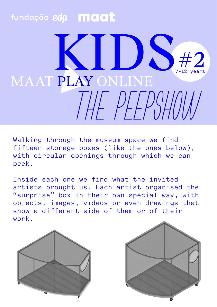## fundação edp **maat**  $#2$ 7-12 years MAAT PLAY ONLINE

Walking through the museum space we find fifteen storage boxes (like the ones below), with circular openings through which we can peek.

Inside each one we find what the invited artists brought us. Each artist organised the "surprise" box in their own special way, with objects, images, vídeos or even drawings that show a different side of them or of their work.



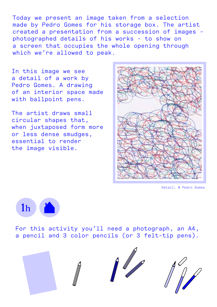Today we present an image taken from a selection made by Pedro Gomes for his storage box. The artist created a presentation from a succession of images photographed details of his works - to show on a screen that occupies the whole opening through which we're allowed to peak.

In this image we see a detail of a work by Pedro Gomes. A drawing of an interior space made with ballpoint pens.

The artist draws small circular shapes that, when juxtaposed form more or less dense smudges, essential to render the image visible.



Detail: © Pedro Gomes



For this activity you'll need a photograph, an A4, a pencil and 3 color pencils (or 3 felt-tip pens).